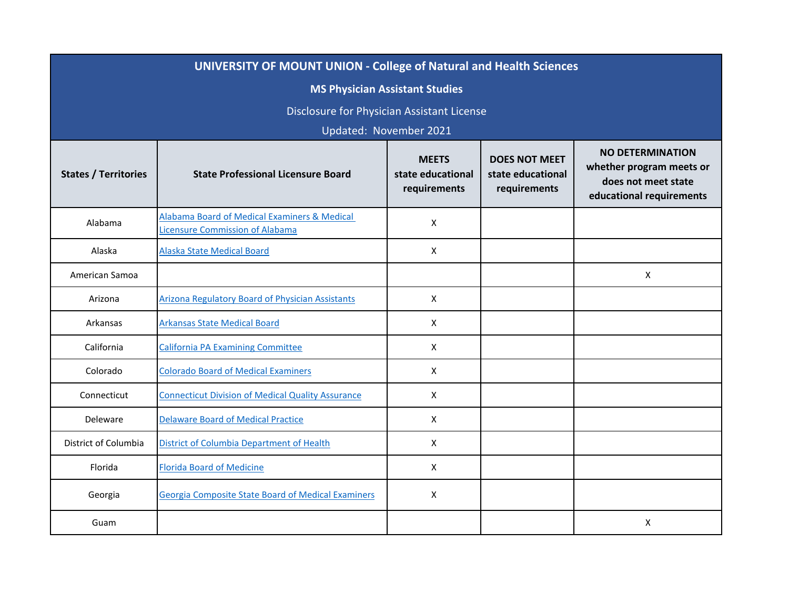| <b>UNIVERSITY OF MOUNT UNION - College of Natural and Health Sciences</b> |                                                                                            |                                                   |                                                           |                                                                                                        |
|---------------------------------------------------------------------------|--------------------------------------------------------------------------------------------|---------------------------------------------------|-----------------------------------------------------------|--------------------------------------------------------------------------------------------------------|
| <b>MS Physician Assistant Studies</b>                                     |                                                                                            |                                                   |                                                           |                                                                                                        |
| Disclosure for Physician Assistant License                                |                                                                                            |                                                   |                                                           |                                                                                                        |
|                                                                           |                                                                                            | Updated: November 2021                            |                                                           |                                                                                                        |
| <b>States / Territories</b>                                               | <b>State Professional Licensure Board</b>                                                  | <b>MEETS</b><br>state educational<br>requirements | <b>DOES NOT MEET</b><br>state educational<br>requirements | <b>NO DETERMINATION</b><br>whether program meets or<br>does not meet state<br>educational requirements |
| Alabama                                                                   | <b>Alabama Board of Medical Examiners &amp; Medical</b><br>Licensure Commission of Alabama | X                                                 |                                                           |                                                                                                        |
| Alaska                                                                    | <b>Alaska State Medical Board</b>                                                          | $\mathsf{X}$                                      |                                                           |                                                                                                        |
| American Samoa                                                            |                                                                                            |                                                   |                                                           | X                                                                                                      |
| Arizona                                                                   | <b>Arizona Regulatory Board of Physician Assistants</b>                                    | X                                                 |                                                           |                                                                                                        |
| Arkansas                                                                  | <b>Arkansas State Medical Board</b>                                                        | X                                                 |                                                           |                                                                                                        |
| California                                                                | <b>California PA Examining Committee</b>                                                   | X                                                 |                                                           |                                                                                                        |
| Colorado                                                                  | <b>Colorado Board of Medical Examiners</b>                                                 | X                                                 |                                                           |                                                                                                        |
| Connecticut                                                               | <b>Connecticut Division of Medical Quality Assurance</b>                                   | X                                                 |                                                           |                                                                                                        |
| Deleware                                                                  | <b>Delaware Board of Medical Practice</b>                                                  | X                                                 |                                                           |                                                                                                        |
| District of Columbia                                                      | <b>District of Columbia Department of Health</b>                                           | X                                                 |                                                           |                                                                                                        |
| Florida                                                                   | <b>Florida Board of Medicine</b>                                                           | X                                                 |                                                           |                                                                                                        |
| Georgia                                                                   | <b>Georgia Composite State Board of Medical Examiners</b>                                  | X                                                 |                                                           |                                                                                                        |
| Guam                                                                      |                                                                                            |                                                   |                                                           | X                                                                                                      |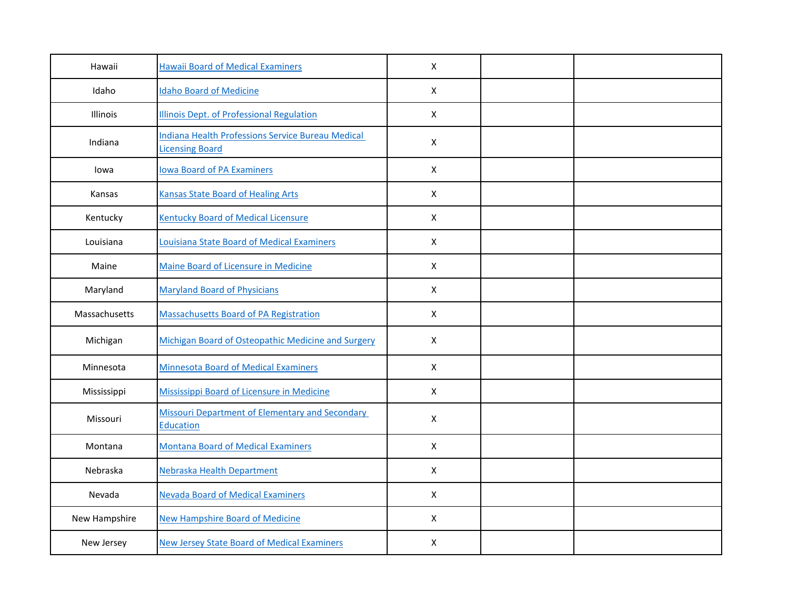| Hawaii        | <b>Hawaii Board of Medical Examiners</b>                                   | $\mathsf{X}$   |  |
|---------------|----------------------------------------------------------------------------|----------------|--|
| Idaho         | <b>Idaho Board of Medicine</b>                                             | $\mathsf{X}$   |  |
| Illinois      | <b>Illinois Dept. of Professional Regulation</b>                           | $\mathsf{X}$   |  |
| Indiana       | Indiana Health Professions Service Bureau Medical<br>Licensing Board       | $\mathsf{X}$   |  |
| lowa          | <b>Iowa Board of PA Examiners</b>                                          | $\mathsf{X}$   |  |
| Kansas        | <b>Kansas State Board of Healing Arts</b>                                  | $\mathsf{x}$   |  |
| Kentucky      | <b>Kentucky Board of Medical Licensure</b>                                 | X              |  |
| Louisiana     | <b>Louisiana State Board of Medical Examiners</b>                          | $\pmb{\times}$ |  |
| Maine         | Maine Board of Licensure in Medicine                                       | $\mathsf{X}$   |  |
| Maryland      | <b>Maryland Board of Physicians</b>                                        | $\mathsf{X}$   |  |
| Massachusetts | <b>Massachusetts Board of PA Registration</b>                              | $\mathsf{x}$   |  |
| Michigan      | Michigan Board of Osteopathic Medicine and Surgery                         | $\mathsf{X}$   |  |
| Minnesota     | <b>Minnesota Board of Medical Examiners</b>                                | $\mathsf{X}$   |  |
| Mississippi   | Mississippi Board of Licensure in Medicine                                 | $\mathsf{x}$   |  |
| Missouri      | <b>Missouri Department of Elementary and Secondary</b><br><b>Education</b> | $\mathsf{X}$   |  |
| Montana       | <b>Montana Board of Medical Examiners</b>                                  | $\mathsf{X}$   |  |
| Nebraska      | Nebraska Health Department                                                 | X              |  |
| Nevada        | <b>Nevada Board of Medical Examiners</b>                                   | $\mathsf{X}$   |  |
| New Hampshire | <b>New Hampshire Board of Medicine</b>                                     | $\mathsf{X}$   |  |
| New Jersey    | New Jersey State Board of Medical Examiners                                | $\mathsf{X}$   |  |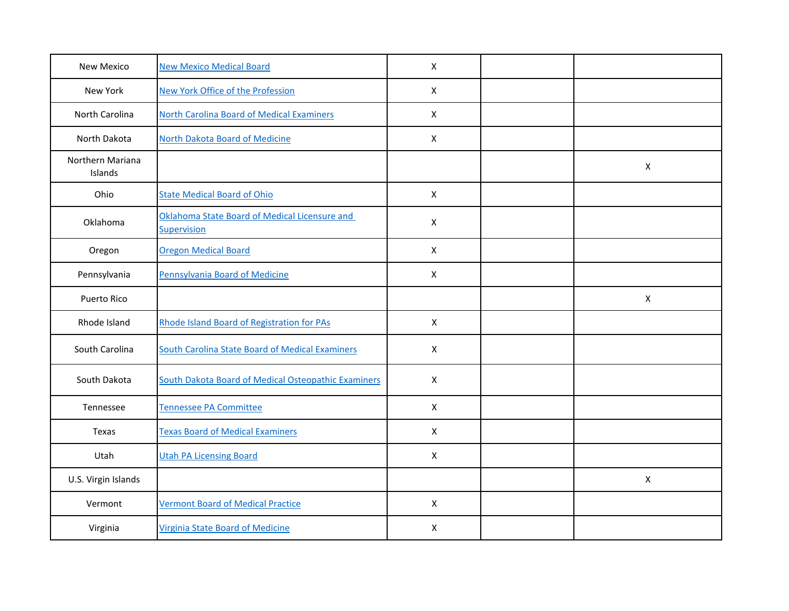| <b>New Mexico</b>           | <b>New Mexico Medical Board</b>                              | $\boldsymbol{\mathsf{X}}$ |                           |
|-----------------------------|--------------------------------------------------------------|---------------------------|---------------------------|
| New York                    | <b>New York Office of the Profession</b>                     | $\mathsf{X}$              |                           |
| North Carolina              | <b>North Carolina Board of Medical Examiners</b>             | $\mathsf{X}$              |                           |
| North Dakota                | North Dakota Board of Medicine                               | $\mathsf{X}$              |                           |
| Northern Mariana<br>Islands |                                                              |                           | $\mathsf{X}$              |
| Ohio                        | <b>State Medical Board of Ohio</b>                           | $\mathsf{X}$              |                           |
| Oklahoma                    | Oklahoma State Board of Medical Licensure and<br>Supervision | $\pmb{\times}$            |                           |
| Oregon                      | <b>Oregon Medical Board</b>                                  | $\mathsf{X}$              |                           |
| Pennsylvania                | <b>Pennsylvania Board of Medicine</b>                        | $\pmb{\times}$            |                           |
| Puerto Rico                 |                                                              |                           | $\boldsymbol{\mathsf{X}}$ |
| Rhode Island                | Rhode Island Board of Registration for PAs                   | X                         |                           |
| South Carolina              | <b>South Carolina State Board of Medical Examiners</b>       | X                         |                           |
| South Dakota                | South Dakota Board of Medical Osteopathic Examiners          | $\pmb{\times}$            |                           |
| Tennessee                   | Tennessee PA Committee                                       | X                         |                           |
| Texas                       | <b>Texas Board of Medical Examiners</b>                      | $\mathsf{X}$              |                           |
| Utah                        | <b>Utah PA Licensing Board</b>                               | $\pmb{\times}$            |                           |
| U.S. Virgin Islands         |                                                              |                           | X                         |
| Vermont                     | <b>Vermont Board of Medical Practice</b>                     | $\mathsf{X}$              |                           |
| Virginia                    | <b>Virginia State Board of Medicine</b>                      | $\mathsf{X}$              |                           |